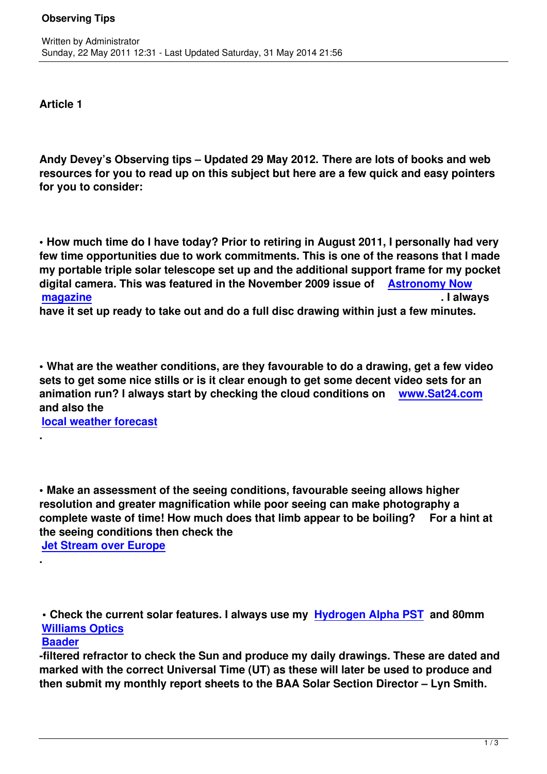**Article 1**

Written by Administrator and Administrator and Administrator and Administrator and Administrator and Administrator and Administrator and Administrator and Administrator and Administrator and Administrator and Administrator

**Andy Devey's Observing tips – Updated 29 May 2012. There are lots of books and web resources for you to read up on this subject but here are a few quick and easy pointers for you to consider:**

**• How much time do I have today? Prior to retiring in August 2011, I personally had very few time opportunities due to work commitments. This is one of the reasons that I made my portable triple solar telescope set up and the additional support frame for my pocket digital camera. This was featured in the November 2009 issue of Astronomy Now magazine . I always**

**have it set up ready to take out and do a full disc drawing within just a few minutes.**

**• What are the weather conditions, are they favourable to do a drawing, get a few video sets to get some nice stills or is it clear enough to get some decent video sets for an animation run? I always start by checking the cloud conditions on www.Sat24.com and also the** 

**local weather forecast**

**• Make an assessment of the seeing conditions, favourable seeing allows higher resolution and greater magnification while poor seeing can make photography a complete waste of time! How much does that limb appear to be boiling? For a hint at the seeing conditions then check the** 

**Jet Stream over Europe**

**• Check the current solar features. I always use my Hydrogen Alpha PST and 80mm Williams Optics**

## **Baader**

**.**

**.** 

**-filtered refractor to check the Sun and produce my [daily drawings. These](http://www.meade.com/product_pages/coronado/scopes/pst.php) are dated and [marked with the](http://www.williamoptics.com/telescopes/megrez88_features.php) correct Universal Time (UT) as these will later be used to produce and [then sub](http://www.rothervalleyoptics.co.uk/baader-solar-filters_t5_s10_u26.html)mit my monthly report sheets to the BAA Solar Section Director – Lyn Smith.**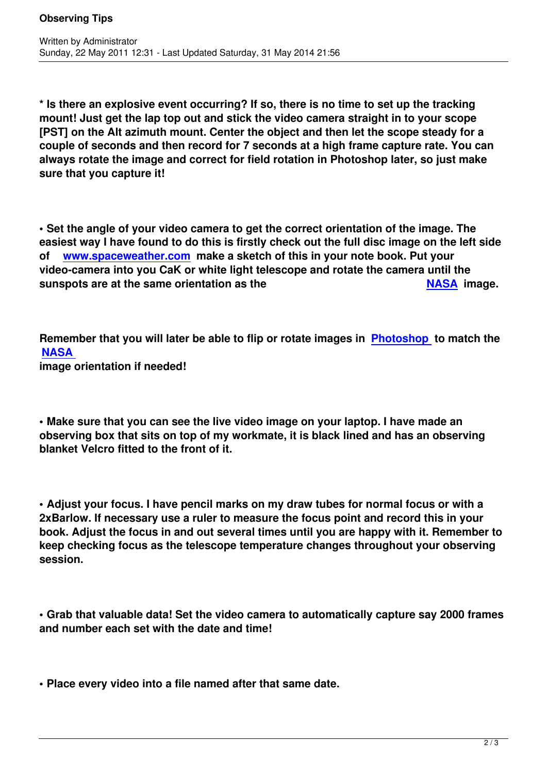**\* Is there an explosive event occurring? If so, there is no time to set up the tracking mount! Just get the lap top out and stick the video camera straight in to your scope [PST] on the Alt azimuth mount. Center the object and then let the scope steady for a couple of seconds and then record for 7 seconds at a high frame capture rate. You can always rotate the image and correct for field rotation in Photoshop later, so just make sure that you capture it!**

**• Set the angle of your video camera to get the correct orientation of the image. The easiest way I have found to do this is firstly check out the full disc image on the left side of www.spaceweather.com make a sketch of this in your note book. Put your video-camera into you CaK or white light telescope and rotate the camera until the sunspots are at the same orientation as the NASA image.** 

**Remember that you will later be able to flip or rotate images in Photosho[p to m](http://www.nasa.gov/)atch the NASA image orientation if needed!**

**• Make sure that you can see the live video image on your laptop. I have made an observing box that sits on top of my workmate, it is black lined and has an observing blanket Velcro fitted to the front of it.**

**• Adjust your focus. I have pencil marks on my draw tubes for normal focus or with a 2xBarlow. If necessary use a ruler to measure the focus point and record this in your book. Adjust the focus in and out several times until you are happy with it. Remember to keep checking focus as the telescope temperature changes throughout your observing session.**

**• Grab that valuable data! Set the video camera to automatically capture say 2000 frames and number each set with the date and time!**

**• Place every video into a file named after that same date.**